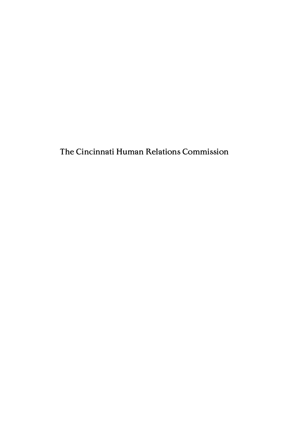The Cincinnati Human Relations Commission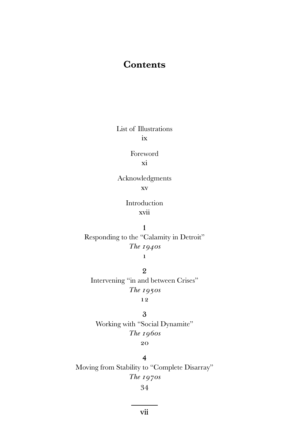# **Contents**

List of Illustrations ix

> Foreword xi

Acknowledgments xv

> Introduction xvii

Responding to the "Calamity in Detroit" *The 1940s*

1

2 Intervening "in and between Crises" *The 1950s*

# 12

3 Working with "Social Dynamite" *The 1960s* 20

4 Moving from Stability to "Complete Disarray" *The 1970s*

34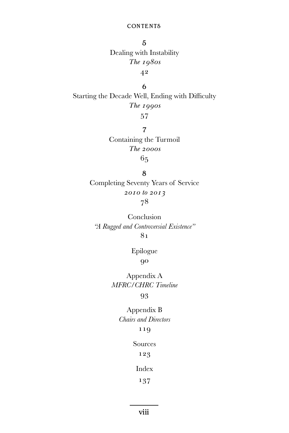### **CONTENTS**

5 Dealing with Instability *The 1980s* 42

6 Starting the Decade Well, Ending with Difficulty *The 1990s*

57

7 Containing the Turmoil *The 2000s* 65

8 Completing Seventy Years of Service *2010 to 2013*  78

Conclusion *"A Rugged and Controversial Existence"*  81

> Epilogue 90

Appendix A *MFRC/CHRC Timeline* 

## 93

Appendix B *Chairs and Directors*  119

Sources

123

Index

137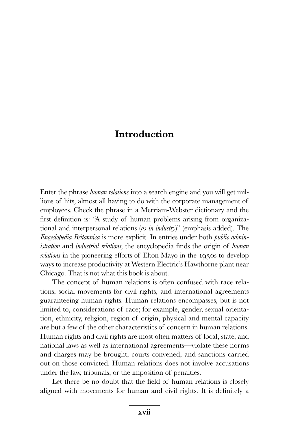# **Introduction**

Enter the phrase *human relations* into a search engine and you will get millions of hits, almost all having to do with the corporate management of employees. Check the phrase in a Merriam-Webster dictionary and the first definition is: "A study of human problems arising from organizational and interpersonal relations (*as in industry*)" (emphasis added). The *Encyclopedia Britannica* is more explicit. In entries under both *public administration* and *industrial relations,* the encyclopedia finds the origin of *human relations* in the pioneering efforts of Elton Mayo in the 1930s to develop ways to increase productivity at Western Electric's Hawthorne plant near Chicago. That is not what this book is about.

 The concept of human relations is often confused with race relations, social movements for civil rights, and international agreements guaranteeing human rights. Human relations encompasses, but is not limited to, considerations of race; for example, gender, sexual orientation, ethnicity, religion, region of origin, physical and mental capacity are but a few of the other characteristics of concern in human relations. Human rights and civil rights are most often matters of local, state, and national laws as well as international agreements—violate these norms and charges may be brought, courts convened, and sanctions carried out on those convicted. Human relations does not involve accusations under the law, tribunals, or the imposition of penalties.

Let there be no doubt that the field of human relations is closely aligned with movements for human and civil rights. It is definitely a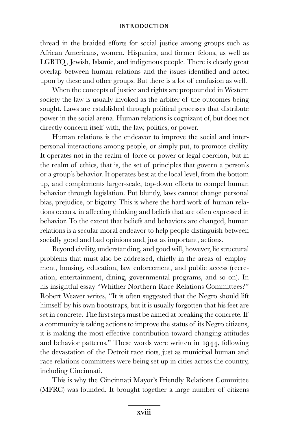#### Introduction

thread in the braided efforts for social justice among groups such as African Americans, women, Hispanics, and former felons, as well as LGBTQ, Jewish, Islamic, and indigenous people. There is clearly great overlap between human relations and the issues identified and acted upon by these and other groups. But there is a lot of confusion as well.

When the concepts of justice and rights are propounded in Western society the law is usually invoked as the arbiter of the outcomes being sought. Laws are established through political processes that distribute power in the social arena. Human relations is cognizant of, but does not directly concern itself with, the law, politics, or power.

 Human relations is the endeavor to improve the social and interpersonal interactions among people, or simply put, to promote civility. It operates not in the realm of force or power or legal coercion, but in the realm of ethics, that is, the set of principles that govern a person's or a group's behavior. It operates best at the local level, from the bottom up, and complements larger-scale, top-down efforts to compel human behavior through legislation. Put bluntly, laws cannot change personal bias, prejudice, or bigotry. This is where the hard work of human relations occurs, in affecting thinking and beliefs that are often expressed in behavior. To the extent that beliefs and behaviors are changed, human relations is a secular moral endeavor to help people distinguish between socially good and bad opinions and, just as important, actions.

Beyond civility, understanding, and good will, however, lie structural problems that must also be addressed, chiefly in the areas of employment, housing, education, law enforcement, and public access (recreation, entertainment, dining, governmental programs, and so on). In his insightful essay "Whither Northern Race Relations Committees?" Robert Weaver writes, "It is often suggested that the Negro should lift himself by his own bootstraps, but it is usually forgotten that his feet are set in concrete. The first steps must be aimed at breaking the concrete. If a community is taking actions to improve the status of its Negro citizens, it is making the most effective contribution toward changing attitudes and behavior patterns." These words were written in 1944, following the devastation of the Detroit race riots, just as municipal human and race relations committees were being set up in cities across the country, including Cincinnati.

 This is why the Cincinnati Mayor's Friendly Relations Committee (MFRC) was founded. It brought together a large number of citizens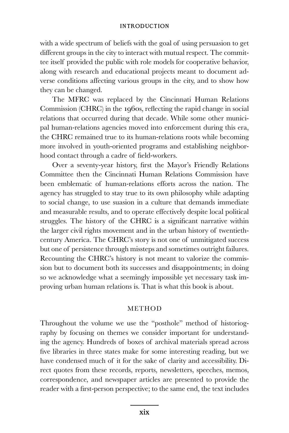#### **INTRODUCTION**

with a wide spectrum of beliefs with the goal of using persuasion to get different groups in the city to interact with mutual respect. The committee itself provided the public with role models for cooperative behavior, along with research and educational projects meant to document adverse conditions affecting various groups in the city, and to show how they can be changed.

 The MFRC was replaced by the Cincinnati Human Relations Commission (CHRC) in the 1960s, reflecting the rapid change in social relations that occurred during that decade. While some other municipal human-relations agencies moved into enforcement during this era, the CHRC remained true to its human-relations roots while becoming more involved in youth-oriented programs and establishing neighborhood contact through a cadre of field-workers.

Over a seventy-year history, first the Mayor's Friendly Relations Committee then the Cincinnati Human Relations Commission have been emblematic of human-relations efforts across the nation. The agency has struggled to stay true to its own philosophy while adapting to social change, to use suasion in a culture that demands immediate and measurable results, and to operate effectively despite local political struggles. The history of the CHRC is a significant narrative within the larger civil rights movement and in the urban history of twentiethcentury America. The CHRC's story is not one of unmitigated success but one of persistence through missteps and sometimes outright failures. Recounting the CHRC's history is not meant to valorize the commission but to document both its successes and disappointments; in doing so we acknowledge what a seemingly impossible yet necessary task improving urban human relations is. That is what this book is about.

### **METHOD**

Throughout the volume we use the "posthole" method of historiography by focusing on themes we consider important for understanding the agency. Hundreds of boxes of archival materials spread across five libraries in three states make for some interesting reading, but we have condensed much of it for the sake of clarity and accessibility. Direct quotes from these records, reports, newsletters, speeches, memos, correspondence, and newspaper articles are presented to provide the reader with a first-person perspective; to the same end, the text includes